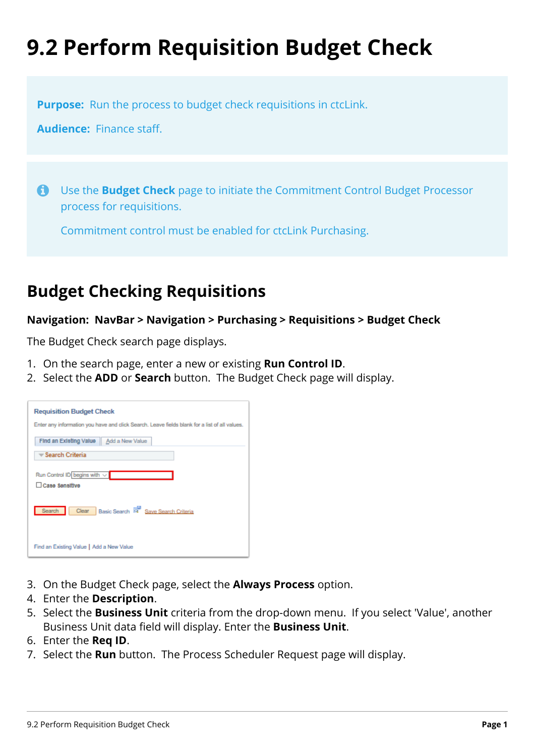## **9.2 Perform Requisition Budget Check**

**Purpose:** Run the process to budget check requisitions in ctcLink.

**Audience:** Finance staff.

 Use the **Budget Check** page to initiate the Commitment Control Budget Processor process for requisitions.

Commitment control must be enabled for ctcLink Purchasing.

## **Budget Checking Requisitions**

## **Navigation: NavBar > Navigation > Purchasing > Requisitions > Budget Check**

The Budget Check search page displays.

- 1. On the search page, enter a new or existing **Run Control ID**.
- 2. Select the **ADD** or **Search** button. The Budget Check page will display.

| <b>Requisition Budget Check</b>                                                               |
|-----------------------------------------------------------------------------------------------|
| Enter any information you have and click Search. Leave fields blank for a list of all values. |
| Find an Existing Value   Add a New Value                                                      |
| <del>▼</del> Search Criteria                                                                  |
| Run Control ID begins with $\vee$                                                             |
| Case Sensitive                                                                                |
| Clear Basic Search <sup>154</sup> Save Search Criteria<br>Search                              |
| Find an Existing Value   Add a New Value                                                      |

- 3. On the Budget Check page, select the **Always Process** option.
- 4. Enter the **Description**.
- 5. Select the **Business Unit** criteria from the drop-down menu. If you select 'Value', another Business Unit data field will display. Enter the **Business Unit**.
- 6. Enter the **Req ID**.
- 7. Select the **Run** button. The Process Scheduler Request page will display.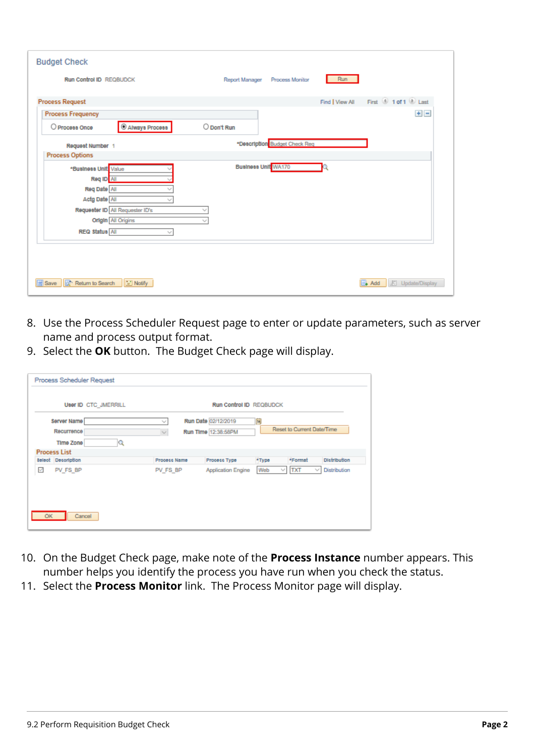| <b>Budget Check</b>                                                            |                                        |
|--------------------------------------------------------------------------------|----------------------------------------|
| <b>Run Control ID REQBUDCK</b>                                                 | Run<br>Report Manager Process Monitor  |
| <b>Process Request</b>                                                         | Find   View All First 10 1 of 1 1 Last |
| <b>Process Frequency</b>                                                       | $+$ $-$                                |
| C Always Process<br>O Process Once                                             | O Don't Run                            |
| Request Number 1                                                               | *Description Budget Check Req          |
| <b>Process Options</b>                                                         |                                        |
| *Business Unit Value<br>Req ID All<br>Req Date NI<br>Actg Date All             | Business Unit WA170                    |
| Requester ID All Requester ID's<br><b>Origin</b> All Origins<br>REQ Status All |                                        |
| Save   Q <sup>+</sup> Return to Search<br>I Notify                             | Add E Update/Display                   |

- 8. Use the Process Scheduler Request page to enter or update parameters, such as server name and process output format.
- 9. Select the **OK** button. The Budget Check page will display.

|    | <b>Process Scheduler Request</b>            |                                  |                                            |               |                                |                     |
|----|---------------------------------------------|----------------------------------|--------------------------------------------|---------------|--------------------------------|---------------------|
|    | User ID CTC JMERRILL                        |                                  | Run Control ID REQBUDCK                    |               |                                |                     |
|    | Server Name<br>Recurrence<br>Q<br>Time Zone | w<br>$\mathcal{N}_{\mathcal{A}}$ | Run Date 02/12/2019<br>Run Time 12:38:58PM | 圓             | Reset to Current Date/Time     |                     |
|    | <b>Process List</b>                         |                                  |                                            |               |                                |                     |
|    | <b>Select</b> Description                   | Process Name                     | Process Type                               | *Type         | *Format                        | <b>Distribution</b> |
| K  | PV_FS_BP                                    | PV_FS_BP                         | <b>Application Engine</b>                  | Web<br>$\sim$ | <b>TXT</b><br>$\gamma_{\rm g}$ | <b>Distribution</b> |
| OK | Cancel                                      |                                  |                                            |               |                                |                     |

- 10. On the Budget Check page, make note of the **Process Instance** number appears. This number helps you identify the process you have run when you check the status.
- 11. Select the **Process Monitor** link. The Process Monitor page will display.